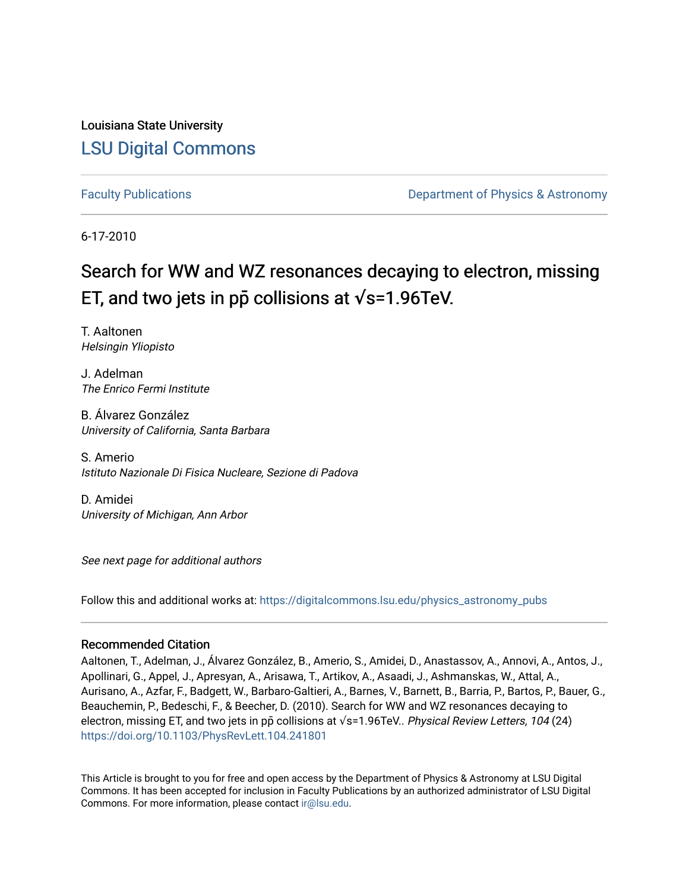Louisiana State University [LSU Digital Commons](https://digitalcommons.lsu.edu/)

[Faculty Publications](https://digitalcommons.lsu.edu/physics_astronomy_pubs) **Example 2** Constant Department of Physics & Astronomy

6-17-2010

## Search for WW and WZ resonances decaying to electron, missing ET, and two jets in pp collisions at  $\sqrt{s}$ =1.96TeV.

T. Aaltonen Helsingin Yliopisto

J. Adelman The Enrico Fermi Institute

B. Álvarez González University of California, Santa Barbara

S. Amerio Istituto Nazionale Di Fisica Nucleare, Sezione di Padova

D. Amidei University of Michigan, Ann Arbor

See next page for additional authors

Follow this and additional works at: [https://digitalcommons.lsu.edu/physics\\_astronomy\\_pubs](https://digitalcommons.lsu.edu/physics_astronomy_pubs?utm_source=digitalcommons.lsu.edu%2Fphysics_astronomy_pubs%2F2402&utm_medium=PDF&utm_campaign=PDFCoverPages) 

## Recommended Citation

Aaltonen, T., Adelman, J., Álvarez González, B., Amerio, S., Amidei, D., Anastassov, A., Annovi, A., Antos, J., Apollinari, G., Appel, J., Apresyan, A., Arisawa, T., Artikov, A., Asaadi, J., Ashmanskas, W., Attal, A., Aurisano, A., Azfar, F., Badgett, W., Barbaro-Galtieri, A., Barnes, V., Barnett, B., Barria, P., Bartos, P., Bauer, G., Beauchemin, P., Bedeschi, F., & Beecher, D. (2010). Search for WW and WZ resonances decaying to electron, missing ET, and two jets in pp̃ collisions at √s=1.96TeV.. Physical Review Letters, 104 (24) <https://doi.org/10.1103/PhysRevLett.104.241801>

This Article is brought to you for free and open access by the Department of Physics & Astronomy at LSU Digital Commons. It has been accepted for inclusion in Faculty Publications by an authorized administrator of LSU Digital Commons. For more information, please contact [ir@lsu.edu](mailto:ir@lsu.edu).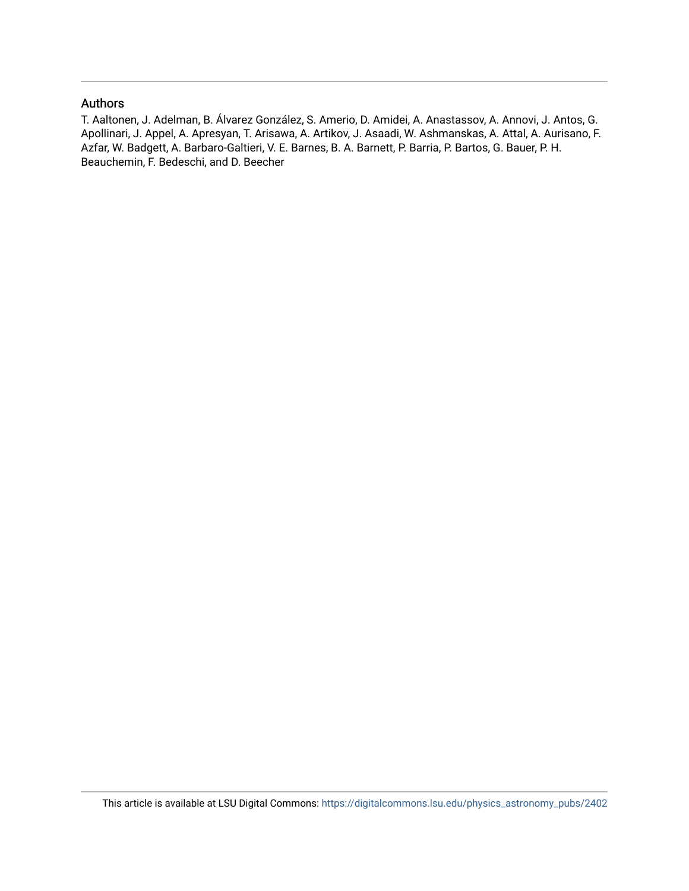## Authors

T. Aaltonen, J. Adelman, B. Álvarez González, S. Amerio, D. Amidei, A. Anastassov, A. Annovi, J. Antos, G. Apollinari, J. Appel, A. Apresyan, T. Arisawa, A. Artikov, J. Asaadi, W. Ashmanskas, A. Attal, A. Aurisano, F. Azfar, W. Badgett, A. Barbaro-Galtieri, V. E. Barnes, B. A. Barnett, P. Barria, P. Bartos, G. Bauer, P. H. Beauchemin, F. Bedeschi, and D. Beecher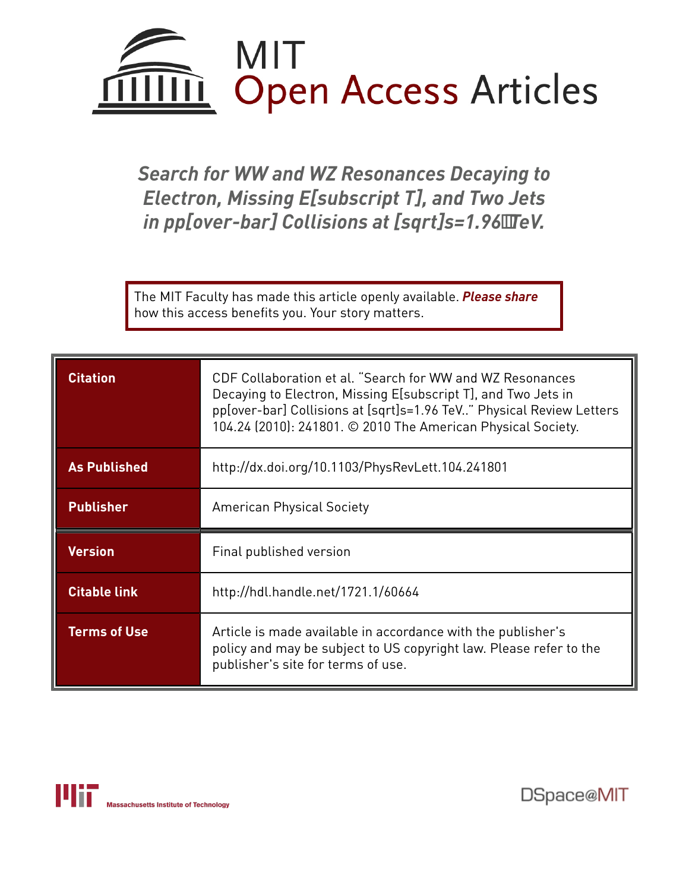

*Search for WW and WZ Resonances Decaying to Electron, Missing E[subscript T], and Two Jets in pp[over-bar] Collisions at [sqrt]s=1.96TeV.*

The MIT Faculty has made this article openly available. *[Please](https://libraries.mit.edu/forms/dspace-oa-articles.html) share* how this access benefits you. Your story matters.

| <b>Citation</b>     | CDF Collaboration et al. "Search for WW and WZ Resonances<br>Decaying to Electron, Missing E[subscript T], and Two Jets in<br>pp[over-bar] Collisions at [sqrt]s=1.96 TeV" Physical Review Letters<br>104.24 (2010): 241801. © 2010 The American Physical Society. |  |  |
|---------------------|--------------------------------------------------------------------------------------------------------------------------------------------------------------------------------------------------------------------------------------------------------------------|--|--|
| <b>As Published</b> | http://dx.doi.org/10.1103/PhysRevLett.104.241801                                                                                                                                                                                                                   |  |  |
| <b>Publisher</b>    | <b>American Physical Society</b>                                                                                                                                                                                                                                   |  |  |
| <b>Version</b>      | Final published version                                                                                                                                                                                                                                            |  |  |
|                     |                                                                                                                                                                                                                                                                    |  |  |
| <b>Citable link</b> | http://hdl.handle.net/1721.1/60664                                                                                                                                                                                                                                 |  |  |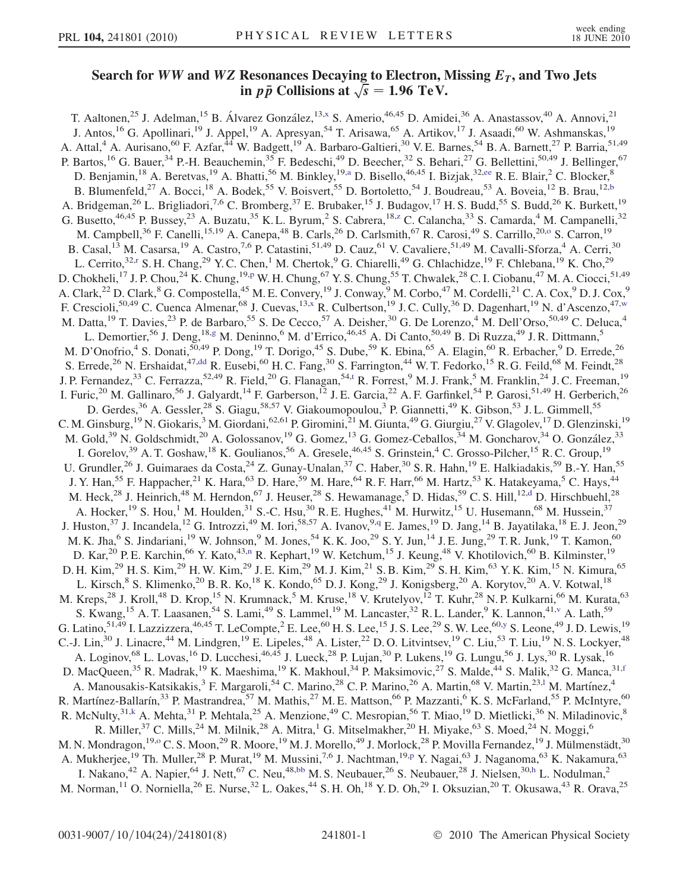## Search for WW and WZ Resonances Decaying to Electron, Missing  $E_T$ , and Two Jets Resonances Decaying to Electron, **Note that the View Collisions at**  $\sqrt{s} = 1.96 \text{ TeV}$ .

<span id="page-3-18"></span><span id="page-3-17"></span><span id="page-3-16"></span><span id="page-3-15"></span><span id="page-3-14"></span><span id="page-3-13"></span><span id="page-3-12"></span><span id="page-3-11"></span><span id="page-3-10"></span><span id="page-3-9"></span><span id="page-3-8"></span><span id="page-3-7"></span><span id="page-3-6"></span><span id="page-3-5"></span><span id="page-3-4"></span><span id="page-3-3"></span><span id="page-3-2"></span><span id="page-3-1"></span><span id="page-3-0"></span>T. Aaltonen,<sup>25</sup> J. Adelman,<sup>15</sup> B. Álvarez González,<sup>13,[x](#page-10-0)</sup> S. Amerio,<sup>46,45</sup> D. Amidei,<sup>36</sup> A. Anastassov,<sup>40</sup> A. Annovi,<sup>21</sup> J. Antos,<sup>16</sup> G. Apollinari,<sup>19</sup> J. Appel,<sup>19</sup> A. Apresyan,<sup>54</sup> T. Arisawa,<sup>65</sup> A. Artikov,<sup>17</sup> J. Asaadi,<sup>60</sup> W. Ashmanskas,<sup>19</sup> A. Attal,<sup>4</sup> A. Aurisano,<sup>60</sup> F. Azfar,<sup>44</sup> W. Badgett,<sup>19</sup> A. Barbaro-Galtieri,<sup>30</sup> V.E. Barnes,<sup>54</sup> B. A. Barnett,<sup>27</sup> P. Barria,<sup>51,49</sup> P. Bartos, <sup>16</sup> G. Bauer, <sup>34</sup> P.-H. Beauchemin, <sup>35</sup> F. Bedeschi, <sup>49</sup> D. Beecher, <sup>32</sup> S. Behari, <sup>27</sup> G. Bellettini, <sup>50, 49</sup> J. Bellinger, <sup>67</sup> D. Benj[a](#page-9-0)min,<sup>18</sup> A. Beretvas,<sup>19</sup> A. Bhatti,<sup>56</sup> M. Binkley,<sup>19,a</sup> D. Bisello,<sup>46,45</sup> I. Bizjak,<sup>32[,ee](#page-10-1)</sup> R. E. Blair,<sup>2</sup> C. Blocker,<sup>8</sup> B. Blumenfeld,<sup>27</sup> A. Bocci,<sup>18</sup> A. Bodek,<sup>55</sup> V. Boisvert,<sup>55</sup> D. Bortoletto,<sup>54</sup> J. Boudreau,<sup>53</sup> A. Boveia,<sup>12</sup> B. Brau,<sup>12[,b](#page-9-1)</sup> A. Bridgeman,<sup>26</sup> L. Brigliadori,<sup>7,6</sup> C. Bromberg,<sup>37</sup> E. Brubaker,<sup>15</sup> J. Budagov,<sup>17</sup> H. S. Budd,<sup>55</sup> S. Budd,<sup>26</sup> K. Burkett,<sup>19</sup> G. Busetto,<sup>46,45</sup> P. Bussey,<sup>23</sup> A. Bu[z](#page-10-2)atu,<sup>35</sup> K. L. Byrum,<sup>2</sup> S. Cabrera,<sup>18,z</sup> C. Calancha,<sup>33</sup> S. Camarda,<sup>4</sup> M. Campanelli,<sup>32</sup> M. Campbell,<sup>36</sup> F. Canelli,<sup>15,19</sup> A. Canepa,<sup>48</sup> B. Carls,<sup>26</sup> D. Carlsmith,<sup>67</sup> R. Car[o](#page-10-3)si,<sup>49</sup> S. Carrillo,<sup>20,0</sup> S. Carron,<sup>19</sup> B. Casal,<sup>13</sup> M. Casarsa,<sup>19</sup> A. Castro,<sup>7,6</sup> P. Catastini,<sup>51,49</sup> D. Cauz,<sup>61</sup> V. Cavaliere,<sup>51,49</sup> M. Cavalli-Sforza,<sup>4</sup> A. Cerri,<sup>30</sup> L. Ce[r](#page-10-4)rito,<sup>32,r</sup> S. H. Chang,<sup>29</sup> Y. C. Chen,<sup>1</sup> M. Chertok,<sup>9</sup> G. Chiarelli,<sup>49</sup> G. Chlachidze,<sup>19</sup> F. Chlebana,<sup>19</sup> K. Cho,<sup>29</sup> D. Chokheli,<sup>17</sup> J. P. Chou,<sup>24</sup> K. Chung,<sup>19[,p](#page-10-5)</sup> W. H. Chung,<sup>67</sup> Y. S. Chung,<sup>55</sup> T. Chwalek,<sup>28</sup> C. I. Ciobanu,<sup>47</sup> M. A. Ciocci,<sup>51,49</sup> A. Clark,<sup>22</sup> D. Clark,<sup>8</sup> G. Compostella,<sup>45</sup> M. E. Convery,<sup>19</sup> J. Conway,<sup>9</sup> M. Corbo,<sup>47</sup> M. Cordelli,<sup>21</sup> C. A. Cox,<sup>9</sup> D. J. Cox,<sup>9</sup> F. Crescioli,<sup>50,49</sup> C. Cuenca Almenar,<sup>68</sup> J. Cuevas,<sup>13[,x](#page-10-0)</sup> R. Culbertson,<sup>19</sup> J.C. Cully,<sup>36</sup> D. Dagenhart,<sup>19</sup> N. d'Ascenzo,<sup>47[,w](#page-10-6)</sup> M. Datta,<sup>19</sup> T. Davies,<sup>23</sup> P. de Barbaro,<sup>55</sup> S. De Cecco,<sup>57</sup> A. Deisher,<sup>30</sup> G. De Lorenzo,<sup>4</sup> M. Dell'Orso,<sup>50,49</sup> C. Deluca,<sup>4</sup> L. Demortier,<sup>56</sup> J. Deng,<sup>18[,g](#page-9-2)</sup> M. Deninno,<sup>6</sup> M. d'Errico,<sup>46,45</sup> A. Di Canto,<sup>50,49</sup> B. Di Ruzza,<sup>49</sup> J. R. Dittmann,<sup>5</sup> M. D'Onofrio,<sup>4</sup> S. Donati,<sup>50,49</sup> P. Dong,<sup>19</sup> T. Dorigo,<sup>45</sup> S. Dube,<sup>59</sup> K. Ebina,<sup>65</sup> A. Elagin,<sup>60</sup> R. Erbacher,<sup>9</sup> D. Errede,<sup>26</sup> S. Errede,<sup>26</sup> N. Ershaidat,<sup>47[,dd](#page-10-7)</sup> R. Eusebi,<sup>60</sup> H. C. Fang,<sup>30</sup> S. Farrington,<sup>44</sup> W. T. Fedorko,<sup>15</sup> R. G. Feild,<sup>68</sup> M. Feindt,<sup>28</sup> J. P. Fernandez,<sup>33</sup> C. Ferrazza,<sup>52,49</sup> R. Field,<sup>20</sup> G. Flanagan,<sup>54,[t](#page-10-8)</sup> R. Forrest,<sup>9</sup> M. J. Frank,<sup>5</sup> M. Franklin,<sup>24</sup> J. C. Freeman,<sup>19</sup> I. Furic,<sup>20</sup> M. Gallinaro,<sup>56</sup> J. Galyardt,<sup>14</sup> F. Garberson,<sup>12</sup> J. E. Garcia,<sup>22</sup> A. F. Garfinkel,<sup>54</sup> P. Garosi,<sup>51,49</sup> H. Gerberich,<sup>26</sup> D. Gerdes,<sup>36</sup> A. Gessler,<sup>28</sup> S. Giagu,<sup>58,57</sup> V. Giakoumopoulou,<sup>3</sup> P. Giannetti,<sup>49</sup> K. Gibson,<sup>53</sup> J. L. Gimmell,<sup>55</sup> C. M. Ginsburg, <sup>19</sup> N. Giokaris, <sup>3</sup> M. Giordani, <sup>62,61</sup> P. Giromini, <sup>21</sup> M. Giunta, <sup>49</sup> G. Giurgiu, <sup>27</sup> V. Glagolev, <sup>17</sup> D. Glenzinski, <sup>19</sup> M. Gold,<sup>39</sup> N. Goldschmidt,<sup>20</sup> A. Golossanov,<sup>19</sup> G. Gomez,<sup>13</sup> G. Gomez-Ceballos,<sup>34</sup> M. Goncharov,<sup>34</sup> O. González,<sup>33</sup> I. Gorelov,<sup>39</sup> A. T. Goshaw,<sup>18</sup> K. Goulianos,<sup>56</sup> A. Gresele,<sup>46,45</sup> S. Grinstein,<sup>4</sup> C. Grosso-Pilcher,<sup>15</sup> R. C. Group,<sup>19</sup> U. Grundler,<sup>26</sup> J. Guimaraes da Costa,<sup>24</sup> Z. Gunay-Unalan,<sup>37</sup> C. Haber,<sup>30</sup> S.R. Hahn,<sup>19</sup> E. Halkiadakis,<sup>59</sup> B.-Y. Han,<sup>55</sup> J. Y. Han,<sup>55</sup> F. Happacher,<sup>21</sup> K. Hara,<sup>63</sup> D. Hare,<sup>59</sup> M. Hare,<sup>64</sup> R. F. Harr,<sup>66</sup> M. Hartz,<sup>53</sup> K. Hatakeyama,<sup>5</sup> C. Hays,<sup>44</sup> M. Heck,<sup>28</sup> J. Heinrich,<sup>48</sup> M. Herndon,<sup>67</sup> J. Heuser,<sup>28</sup> S. Hewamanage,<sup>5</sup> D. Hidas,<sup>59</sup> C. S. Hill,<sup>12[,d](#page-9-3)</sup> D. Hirschbuehl,<sup>28</sup> A. Hocker,<sup>19</sup> S. Hou,<sup>1</sup> M. Houlden,<sup>31</sup> S.-C. Hsu,<sup>30</sup> R. E. Hughes,<sup>41</sup> M. Hurwitz,<sup>15</sup> U. Husemann,<sup>68</sup> M. Hussein,<sup>37</sup> J. Huston,<sup>37</sup> J. Incandela,<sup>12</sup> G. Introzzi,<sup>49</sup> M. Iori,<sup>58,57</sup> A. Ivanov,<sup>9,[q](#page-10-9)</sup> E. James,<sup>19</sup> D. Jang,<sup>14</sup> B. Jayatilaka,<sup>18</sup> E. J. Jeon,<sup>29</sup> M. K. Jha,<sup>6</sup> S. Jindariani,<sup>19</sup> W. Johnson,<sup>9</sup> M. Jones,<sup>54</sup> K. K. Joo,<sup>29</sup> S. Y. Jun,<sup>14</sup> J. E. Jung,<sup>29</sup> T. R. Junk,<sup>19</sup> T. Kamon,<sup>60</sup> D. Kar,<sup>20</sup> P. E. Karchin,<sup>66</sup> Y. Kato,<sup>43[,n](#page-10-10)</sup> R. Kephart,<sup>19</sup> W. Ketchum,<sup>15</sup> J. Keung,<sup>48</sup> V. Khotilovich,<sup>60</sup> B. Kilminster,<sup>19</sup> D. H. Kim,<sup>29</sup> H. S. Kim,<sup>29</sup> H. W. Kim,<sup>29</sup> J. E. Kim,<sup>29</sup> M. J. Kim,<sup>21</sup> S. B. Kim,<sup>29</sup> S. H. Kim,<sup>63</sup> Y. K. Kim,<sup>15</sup> N. Kimura,<sup>65</sup> L. Kirsch,<sup>8</sup> S. Klimenko,<sup>20</sup> B. R. Ko,<sup>18</sup> K. Kondo,<sup>65</sup> D. J. Kong,<sup>29</sup> J. Konigsberg,<sup>20</sup> A. Korytov,<sup>20</sup> A. V. Kotwal,<sup>18</sup> M. Kreps,<sup>28</sup> J. Kroll,<sup>48</sup> D. Krop,<sup>15</sup> N. Krumnack,<sup>5</sup> M. Kruse,<sup>18</sup> V. Krutelyov,<sup>12</sup> T. Kuhr,<sup>28</sup> N. P. Kulkarni,<sup>66</sup> M. Kurata,<sup>63</sup> S. Kwang,<sup>15</sup> A. T. Laasanen,<sup>54</sup> S. Lami,<sup>49</sup> S. Lammel,<sup>19</sup> M. Lancaster,<sup>32</sup> R. L. Lander,<sup>9</sup> K. Lannon,<sup>41,[v](#page-10-11)</sup> A. Lath,<sup>59</sup> G. Latino,  $51,49$  I. Lazzizzera,  $46,45$  T. LeCompte,  $^2$  E. Lee,  $^{60}$  H. S. Lee,  $^{15}$  J. S. Lee,  $^{29}$  S. W. Lee,  $^{60,y}$  $^{60,y}$  $^{60,y}$  S. Leone,  $^{49}$  J. D. Lewis,  $^{19}$ C.-J. Lin,<sup>30</sup> J. Linacre,<sup>44</sup> M. Lindgren,<sup>19</sup> E. Lipeles,<sup>48</sup> A. Lister,<sup>22</sup> D.O. Litvintsev,<sup>19</sup> C. Liu,<sup>53</sup> T. Liu,<sup>19</sup> N. S. Lockyer,<sup>48</sup> A. Loginov,<sup>68</sup> L. Lovas,<sup>16</sup> D. Lucchesi,<sup>46,45</sup> J. Lueck,<sup>28</sup> P. Lujan,<sup>30</sup> P. Lukens,<sup>19</sup> G. Lungu,<sup>56</sup> J. Lys,<sup>30</sup> R. Lysak,<sup>16</sup> D. MacQueen,<sup>35</sup> R. Madrak,<sup>19</sup> K. Maeshima,<sup>19</sup> K. Makhoul,<sup>34</sup> P. Maksimovic,<sup>27</sup> S. Malde,<sup>44</sup> S. Malik,<sup>32</sup> G. Manca,<sup>31,[f](#page-9-4)</sup> A. Manousakis-Katsikakis,<sup>3</sup> F. Margaro[l](#page-10-13)i,<sup>54</sup> C. Marino,<sup>28</sup> C. P. Marino,<sup>26</sup> A. Martin,<sup>68</sup> V. Martin,<sup>23,1</sup> M. Martínez,<sup>4</sup> R. Martínez-Ballarín,<sup>33</sup> P. Mastrandrea,<sup>57</sup> M. Mathis,<sup>27</sup> M. E. Mattson,<sup>66</sup> P. Mazzanti,<sup>6</sup> K. S. McFarland,<sup>55</sup> P. McIntyre,<sup>60</sup> R. McNulty,<sup>31,[k](#page-10-14)</sup> A. Mehta,<sup>31</sup> P. Mehtala,<sup>25</sup> A. Menzione,<sup>49</sup> C. Mesropian,<sup>56</sup> T. Miao,<sup>19</sup> D. Mietlicki,<sup>36</sup> N. Miladinovic,<sup>8</sup> R. Miller,<sup>37</sup> C. Mills,<sup>24</sup> M. Milnik,<sup>28</sup> A. Mitra,<sup>1</sup> G. Mitselmakher,<sup>20</sup> H. Miyake,<sup>63</sup> S. Moed,<sup>24</sup> N. Moggi,<sup>6</sup> M. N. Mondragon,<sup>19[,o](#page-10-3)</sup> C. S. Moon,<sup>29</sup> R. Moore,<sup>19</sup> M. J. Morello,<sup>49</sup> J. Morlock,<sup>28</sup> P. Movilla Fernandez,<sup>19</sup> J. Mülmenstädt,<sup>30</sup> A. Mukherjee,<sup>19</sup> Th. Muller,<sup>28</sup> P. Murat,<sup>19</sup> M. Mussini,<sup>7,6</sup> J. Nachtman,<sup>19[,p](#page-10-5)</sup> Y. Nagai,<sup>63</sup> J. Naganoma,<sup>63</sup> K. Nakamura,<sup>63</sup> I. Nakano,<sup>42</sup> A. Napier,<sup>64</sup> J. Nett,<sup>67</sup> C. Neu,<sup>48[,bb](#page-10-15)</sup> M. S. Neubauer,<sup>26</sup> S. Neubauer,<sup>28</sup> J. Nielsen,<sup>30,[h](#page-10-16)</sup> L. Nodulman,<sup>2</sup> M. Norman,  $^{11}$  O. Norniella,  $^{26}$  E. Nurse,  $^{32}$  L. Oakes,  $^{44}$  S. H. Oh,  $^{18}$  Y. D. Oh,  $^{29}$  I. Oksuzian,  $^{20}$  T. Okusawa,  $^{43}$  R. Orava,  $^{25}$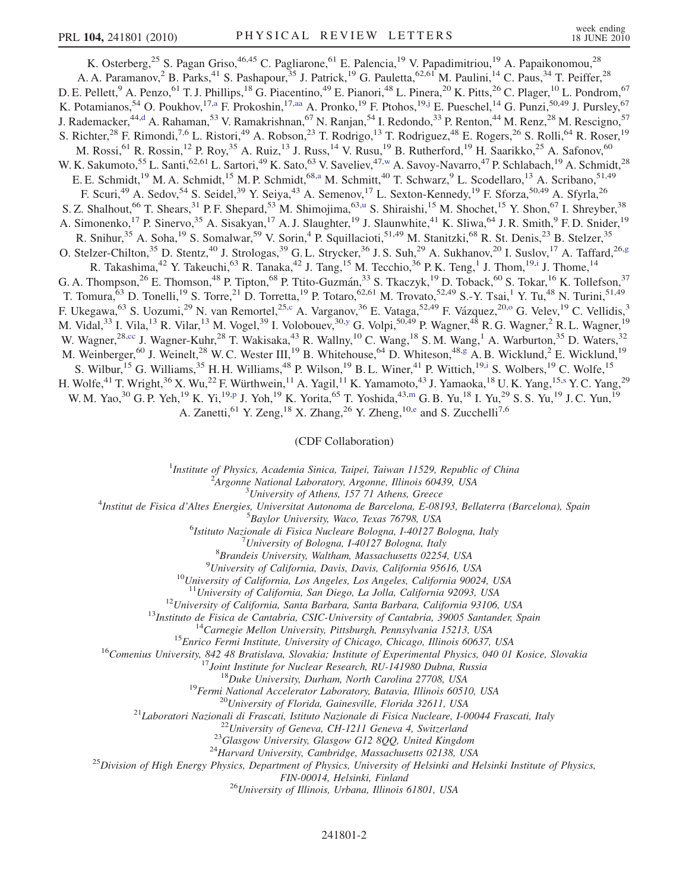<span id="page-4-6"></span><span id="page-4-3"></span>K. Osterberg,<sup>25</sup> S. Pagan Griso,<sup>46,45</sup> C. Pagliarone,<sup>61</sup> E. Palencia,<sup>19</sup> V. Papadimitriou,<sup>19</sup> A. Papaikonomou,<sup>28</sup> A. A. Paramanov,<sup>2</sup> B. Parks,<sup>41</sup> S. Pashapour,<sup>35</sup> J. Patrick,<sup>19</sup> G. Pauletta,<sup>62,61</sup> M. Paulini,<sup>14</sup> C. Paus,<sup>34</sup> T. Peiffer,<sup>28</sup> D. E. Pellett,<sup>9</sup> A. Penzo,<sup>61</sup> T. J. Phillips,<sup>18</sup> G. Piacentino,<sup>49</sup> E. Pianori,<sup>48</sup> L. Pinera,<sup>20</sup> K. Pitts,<sup>26</sup> C. Plager,<sup>10</sup> L. Pondrom,<sup>67</sup> K. Potamianos,<sup>54</sup> O. Poukhov,<sup>17[,a](#page-9-0)</sup> F. Prokoshin,<sup>17[,aa](#page-10-17)</sup> A. Pronko,<sup>19</sup> F. Ptohos,<sup>19[,j](#page-10-18)</sup> E. Pueschel,<sup>14</sup> G. Punzi,<sup>50,49</sup> J. Pursley,<sup>67</sup> J. Ra[d](#page-9-3)emacker,<sup>44,d</sup> A. Rahaman,<sup>53</sup> V. Ramakrishnan,<sup>67</sup> N. Ranjan,<sup>54</sup> I. Redondo,<sup>33</sup> P. Renton,<sup>44</sup> M. Renz,<sup>28</sup> M. Rescigno,<sup>57</sup> S. Richter,<sup>28</sup> F. Rimondi,<sup>7,6</sup> L. Ristori,<sup>49</sup> A. Robson,<sup>23</sup> T. Rodrigo,<sup>13</sup> T. Rodriguez,<sup>48</sup> E. Rogers,<sup>26</sup> S. Rolli,<sup>64</sup> R. Roser,<sup>19</sup> M. Rossi, <sup>61</sup> R. Rossin, <sup>12</sup> P. Roy, <sup>35</sup> A. Ruiz, <sup>13</sup> J. Russ, <sup>14</sup> V. Rusu, <sup>19</sup> B. Rutherford, <sup>19</sup> H. Saarikko, <sup>25</sup> A. Safonov, <sup>60</sup> W. K. Sakumoto,<sup>55</sup> L. Santi,<sup>62,61</sup> L. Sartori,<sup>49</sup> K. Sato,<sup>63</sup> V. Saveliev,<sup>47,[w](#page-10-6)</sup> A. Savoy-Navarro,<sup>47</sup> P. Schlabach,<sup>19</sup> A. Schmidt,<sup>28</sup> E. E. Schmidt,<sup>19</sup> M. A. Schmidt,<sup>15</sup> M. P. Schmidt,<sup>68[,a](#page-9-0)</sup> M. Schmitt,<sup>40</sup> T. Schwarz,<sup>9</sup> L. Scodellaro,<sup>13</sup> A. Scribano,<sup>51,49</sup> F. Scuri,<sup>49</sup> A. Sedov,<sup>54</sup> S. Seidel,<sup>39</sup> Y. Seiya,<sup>43</sup> A. Semenov,<sup>17</sup> L. Sexton-Kennedy,<sup>19</sup> F. Sforza,<sup>50,49</sup> A. Sfyrla,<sup>26</sup> S. Z. Shalho[u](#page-10-19)t, <sup>66</sup> T. Shears, <sup>31</sup> P. F. Shepard, <sup>53</sup> M. Shimojima, <sup>63,u</sup> S. Shiraishi, <sup>15</sup> M. Shochet, <sup>15</sup> Y. Shon, <sup>67</sup> I. Shreyber, <sup>38</sup> A. Simonenko,<sup>17</sup> P. Sinervo,<sup>35</sup> A. Sisakyan,<sup>17</sup> A. J. Slaughter,<sup>19</sup> J. Slaunwhite,<sup>41</sup> K. Sliwa,<sup>64</sup> J. R. Smith,<sup>9</sup> F. D. Snider,<sup>19</sup> R. Snihur,<sup>35</sup> A. Soha,<sup>19</sup> S. Somalwar,<sup>59</sup> V. Sorin,<sup>4</sup> P. Squillacioti,<sup>51,49</sup> M. Stanitzki,<sup>68</sup> R. St. Denis,<sup>23</sup> B. Stelzer,<sup>35</sup> O. Stelzer-Chilton,<sup>35</sup> D. Stentz,<sup>40</sup> J. Strologas,<sup>39</sup> G. L. Strycker,<sup>36</sup> J. S. Suh,<sup>29</sup> A. Sukhanov,<sup>20</sup> I. Suslov,<sup>17</sup> A. Taffard,<sup>26[,g](#page-9-2)</sup> R. Takash[i](#page-10-20)ma, <sup>42</sup> Y. Takeuchi, <sup>63</sup> R. Tanaka, <sup>42</sup> J. Tang, <sup>15</sup> M. Tecchio, <sup>36</sup> P. K. Teng, <sup>1</sup> J. Thom, <sup>19,i</sup> J. Thome, <sup>14</sup> G. A. Thompson,<sup>26</sup> E. Thomson,<sup>48</sup> P. Tipton,<sup>68</sup> P. Ttito-Guzmán,<sup>33</sup> S. Tkaczyk,<sup>19</sup> D. Toback,<sup>60</sup> S. Tokar,<sup>16</sup> K. Tollefson,<sup>37</sup> T. Tomura,<sup>63</sup> D. Tonelli,<sup>19</sup> S. Torre,<sup>21</sup> D. Torretta,<sup>19</sup> P. Totaro,<sup>62,61</sup> M. Trovato,<sup>52,49</sup> S.-Y. Tsai,<sup>1</sup> Y. Tu,<sup>48</sup> N. Turini,<sup>51,49</sup> F. Ukegawa,<sup>63</sup> S. Uozumi,<sup>29</sup> N. van Remortel,<sup>25,[c](#page-9-5)</sup> A. Vargan[o](#page-10-3)v,<sup>36</sup> E. Vataga,<sup>52,49</sup> F. Vázquez,<sup>20,o</sup> G. Velev,<sup>19</sup> C. Vellidis,<sup>3</sup> M. Vidal,<sup>33</sup> I. Vila,<sup>13</sup> R. Vilar,<sup>13</sup> M. Vogel,<sup>39</sup> I. Volobouev,<sup>30[,y](#page-10-12)</sup> G. Volpi,<sup>50,49</sup> P. Wagner,<sup>48</sup> R. G. Wagner,<sup>2</sup> R. L. Wagner,<sup>19</sup> W. Wagner,<sup>28,[cc](#page-10-21)</sup> J. Wagner-Kuhr,<sup>28</sup> T. Wakisaka,<sup>43</sup> R. Wallny,<sup>10</sup> C. Wang,<sup>18</sup> S. M. Wang,<sup>1</sup> A. Warburton,<sup>35</sup> D. Waters,<sup>32</sup> M. Weinberger,<sup>60</sup> J. Weinelt,<sup>28</sup> W. C. Wester III,<sup>19</sup> B. Whitehouse,<sup>64</sup> D. Whiteson,<sup>48[,g](#page-9-2)</sup> A. B. Wicklund,<sup>2</sup> E. Wicklund,<sup>19</sup> S. Wilbur,<sup>15</sup> G. Williams,<sup>35</sup> H. H. Williams,<sup>48</sup> P. Wilson,<sup>19</sup> B. L. Winer,<sup>41</sup> P. Wittich,<sup>19[,i](#page-10-20)</sup> S. Wolbers,<sup>19</sup> C. Wolfe,<sup>15</sup> H. Wolfe,<sup>41</sup> T. Wright,<sup>36</sup> X. Wu,<sup>22</sup> F. Würthwein,<sup>11</sup> A. Yagil,<sup>11</sup> K. Yamamoto,<sup>43</sup> J. Yamaoka,<sup>18</sup> U. K. Yang,<sup>15[,s](#page-10-22)</sup> Y. C. Yang,<sup>29</sup> W. M. Yao,<sup>30</sup> G. P. Yeh,<sup>19</sup> K. Yi,<sup>19[,p](#page-10-5)</sup> J. Yoh,<sup>19</sup> K. Yorita,<sup>65</sup> T. Yoshida,<sup>43[,m](#page-10-23)</sup> G. B. Yu,<sup>18</sup> I. Yu,<sup>29</sup> S. S. Yu,<sup>19</sup> J. C. Yun,<sup>19</sup>

<span id="page-4-7"></span><span id="page-4-2"></span><span id="page-4-0"></span>A. Zanetti, <sup>61</sup> Y. Zeng, <sup>18</sup> X. Zhang, <sup>26</sup> Y. Zheng, <sup>10[,e](#page-9-6)</sup> and S. Zucchelli<sup>7,6</sup>

(CDF Collaboration)

<sup>1</sup>Institute of Physics, Academia Sinica, Taipei, Taiwan 11529, Republic of China<br><sup>2</sup>Argonna National Laboratory, Argonna Illinois 60430, USA

 $^2$ Argonne National Laboratory, Argonne, Illinois 60439, USA<br> $^3$ University of Athens, 157 71 Athens, Greece

<span id="page-4-5"></span><span id="page-4-4"></span><span id="page-4-1"></span><sup>5</sup> University of Athens, 157 71 Athens, Greece  $\frac{3}{4}$  University of Athens, 157 71 Athens, Greece

Institut de Fisica d'Altes Energies, Universitat Autonoma de Barcelona, E-08193, Bellaterra (Barcelona), Spain <sup>5</sup>

<sup>5</sup>Baylor University, Waco, Texas 76798, USA

<sup>6</sup>Istituto Nazionale di Fisica Nucleare Bologna, I-40127 Bologna, Italy <sup>7</sup>University of Bologna, I-40127 Bologna, Italy

University of Bologna, I-40127 Bologna, Italy  $^{8}$ Brandeis University Waltham Massachusetts 02254

<sup>8</sup> Brandeis University, Waltham, Massachusetts 02254, USA<br><sup>9</sup> University of California, Davis, California 95616, U

<sup>9</sup>University of California, Davis, Davis, California 95616, USA<br><sup>10</sup>University of California, Los Angeles, Los Angeles, California 90024, USA<br><sup>11</sup>University of California, San Diego, La Jolla, California 92093, USA

<sup>11</sup>University of California, San Diego, La Jolla, California 92093, USA<br><sup>12</sup>University of California, Santa Barbara, Santa Barbara, California 93106, USA<br><sup>13</sup>Institute de Fisica de Cantabria, CSIC-University of Californi

FIN-00014, Helsinki, Finland<br><sup>26</sup>University of Illinois, Urbana, Illinois 61801, USA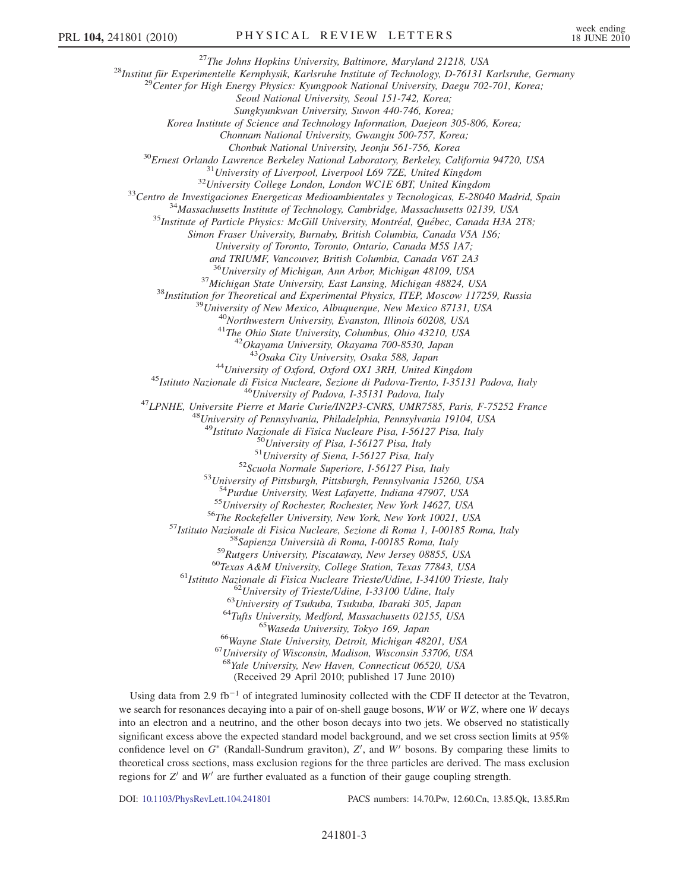<sup>27</sup>The Johns Hopkins University, Baltimore, Maryland 21218, USA<br><sup>28</sup>Institut für Experimentelle Kernphysik, Karlsruhe Institute of Technology, D-76131 Karlsruhe, Germany<br><sup>29</sup>Center for High Energy Physics: Kyungpook Nati

Seoul National University, Seoul 151-742, Korea;

Sungkyunkwan University, Suwon 440-746, Korea;

Korea Institute of Science and Technology Information, Daejeon 305-806, Korea;

Chonnam National University, Gwangju 500-757, Korea;

 $\begin{array}{c} \text{^{30}Ernest~Orlando~Lawrence~Berkeley~National~ Laboratory, Berkeley, California~94720, USA \\ \text{^{31}University of Liverpool, Liverpool~L69~7ZE, United Kingdom} \\ \text{^{32}University~College~London, London~WCIE~6BT, United Kingdom} \\ \text{^{33}Centro~de\;Investigaciones\;Energeticas Medioambientales y Tecnologicas, E-28040 Madrid, Spain} \\ \text{^{34}Massachusetts~Institute of Technology, Cambridge, Massachusetts 02139, USA} \\ \text{^{35}Institute of Particle Physics: McGill University, Montreal, Québec, Canada H3A~2T8; \\ \end{array}$ 

Simon Fraser University, Burnaby, British Columbia, Canada V5A 1S6;

University of Toronto, Toronto, Ontario, Canada M5S 1A7;

and TRIUMF, Vancouver, British Columbia, Canada V6T 2A3

<sup>36</sup>University of Michigan, Ann Arbor, Michigan 48109, USA<br><sup>37</sup>Michigan State University, East Lansing, Michigan 48824, USA<br><sup>38</sup>Institution for Theoretical and Experimental Physics, ITEP, Moscow 117259, Russia<br><sup>39</sup>Univers

<sup>44</sup>University of Oxford, Oxford OX1 3RH, United Kingdom<br><sup>45</sup>Istituto Nazionale di Fisica Nucleare, Sezione di Padova-Trento, I-35131 Padova, Italy<br><sup>46</sup>University of Padova, I-35131 Padova, Italy<br><sup>47</sup>LPNHE, Universite Pie

<sup>49</sup>Istituto Nazionale di Fisica Nucleare Pisa, I-56127 Pisa, Italy<br><sup>50</sup>University of Pisa, I-56127 Pisa, Italy<br><sup>51</sup>University of Siena, I-56127 Pisa, Italy<br><sup>52</sup>Scuola Normale Superiore, I-56127 Pisa, Italy<br><sup>53</sup>University

<sup>54</sup>Purdue University, West Lafayette, Indiana 47907, USA<br>
<sup>55</sup>University of Rochester, Rochester, New York 14627, USA<br>
<sup>55</sup>University of Rochester, Rochester, New York 14627, USA<br>
<sup>56</sup>The Rockefeller University, New York

<sup>68</sup>Yale University, New Haven, Connecticut 06520, USA (Received 29 April 2010; published 17 June 2010)

Using data from 2.9 fb<sup>-1</sup> of integrated luminosity collected with the CDF II detector at the Tevatron, we search for resonances decaying into a pair of on-shell gauge bosons,  $WW$  or  $WZ$ , where one W decays into an electron and a neutrino, and the other boson decays into two jets. We observed no statistically significant excess above the expected standard model background, and we set cross section limits at 95% confidence level on  $G^*$  (Randall-Sundrum graviton),  $Z'$ , and  $W'$  bosons. By comparing these limits to theoretical cross sections, mass exclusion regions for the three particles are derived. The mass exclusion theoretical cross sections, mass exclusion regions for the three particles are derived. The mass exclusion regions for  $Z<sup>t</sup>$  and W<sup>t</sup> are further evaluated as a function of their gauge coupling strength.

DOI: [10.1103/PhysRevLett.104.241801](http://dx.doi.org/10.1103/PhysRevLett.104.241801) PACS numbers: 14.70.Pw, 12.60.Cn, 13.85.Qk, 13.85.Rm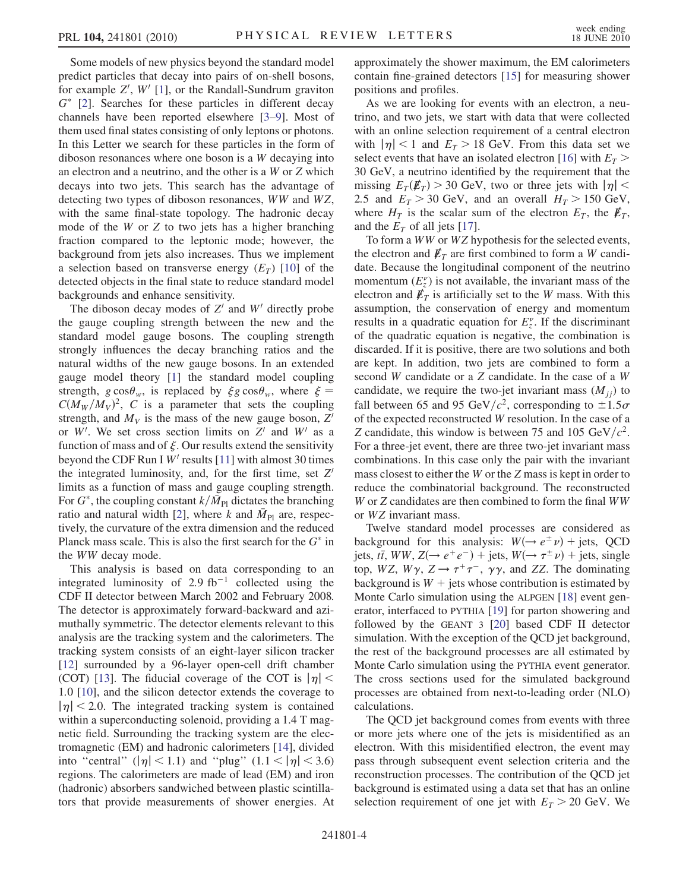Some models of new physics beyond the standard model predict particles that decay into pairs of on-shell bosons, for example Z',  $W'$  [[1](#page-10-24)], or the Randall-Sundrum graviton  $G^*$  [2]. Searches for these particles in different decay  $G^*$  [[2](#page-10-25)]. Searches for these particles in different decay<br>channels have been reported elsewhere  $[3-9]$ . Most of channels have been reported elsewhere [[3–](#page-10-26)[9](#page-10-27)]. Most of them used final states consisting of only leptons or photons. In this Letter we search for these particles in the form of diboson resonances where one boson is a W decaying into an electron and a neutrino, and the other is a W or Z which decays into two jets. This search has the advantage of detecting two types of diboson resonances, WW and WZ, with the same final-state topology. The hadronic decay mode of the W or Z to two jets has a higher branching fraction compared to the leptonic mode; however, the background from jets also increases. Thus we implement a selection based on transverse energy  $(E_T)$  [[10](#page-10-28)] of the detected objects in the final state to reduce standard model backgrounds and enhance sensitivity.

The diboson decay modes of  $Z<sup>t</sup>$  and  $W<sup>t</sup>$  directly probe the gauge coupling strength between the new and the standard model gauge bosons. The coupling strength strongly influences the decay branching ratios and the natural widths of the new gauge bosons. In an extended gauge model theory [\[1](#page-10-24)] the standard model coupling strength,  $g \cos \theta_w$ , is replaced by  $\xi g \cos \theta_w$ , where  $\xi = C(M_w/M_v)^2$ . C is a parameter that sets the coupling  $C(M_W/M_V)^2$ , C is a parameter that sets the coupling<br>strength and M<sub>V</sub> is the mass of the new gauge boson  $Z'$ strength, and  $M_V$  is the mass of the new gauge boson, Z' or W'. We set cross section limits on Z' and W' as a function of mass and of  $\zeta$  Our results extend the sensitivity function of mass and of  $\xi$ . Our results extend the sensitivity<br>beyond the CDE Run I W' results [11] with almost 30 times beyond the CDF Run I  $W'$  results [[11](#page-10-29)] with almost 30 times the integrated luminosity, and, for the first time, set  $Z'$ limits as a function of mass and gauge coupling strength. For  $G^*$ , the coupling constant  $k/\bar{M}_{\text{Pl}}$  dictates the branching<br>ratio and natural width [2] where k and  $\bar{M}_{\text{Pl}}$  are respec-ratio and natural width [[2](#page-10-25)], where k and  $\bar{M}_{\text{Pl}}$  are, respectively, the curvature of the extra dimension and the reduced Planck mass scale. This is also the first search for the  $G^*$  in the WW decay mode the WW decay mode.

This analysis is based on data corresponding to an integrated luminosity of 2.9 fb<sup>-1</sup> collected using the CDF II detector between March 2002 and February 2008. The detector is approximately forward-backward and azimuthally symmetric. The detector elements relevant to this analysis are the tracking system and the calorimeters. The tracking system consists of an eight-layer silicon tracker [\[12\]](#page-10-30) surrounded by a 96-layer open-cell drift chamber (COT) [\[13\]](#page-10-31). The fiducial coverage of the COT is  $|\eta|$  < <sup>1</sup>:<sup>0</sup> [\[10](#page-10-28)], and the silicon detector extends the coverage to  $|\eta|$  < 2.0. The integrated tracking system is contained within a superconducting solenoid, providing a 1.4 T magnetic field. Surrounding the tracking system are the electromagnetic (EM) and hadronic calorimeters [\[14\]](#page-10-32), divided into "central" ( $|\eta|$  < 1.1) and "plug" (1.1 <  $|\eta|$  < 3.6) regions. The calorimeters are made of lead (EM) and iron (hadronic) absorbers sandwiched between plastic scintillators that provide measurements of shower energies. At approximately the shower maximum, the EM calorimeters contain fine-grained detectors [\[15\]](#page-10-33) for measuring shower positions and profiles.

As we are looking for events with an electron, a neutrino, and two jets, we start with data that were collected with an online selection requirement of a central electron with  $|\eta|$  < 1 and  $E_T$  > 18 GeV. From this data set we select events that have an isolated electron [\[16\]](#page-10-34) with  $E_T$  > 30 GeV, a neutrino identified by the requirement that the missing  $E_T(\not{E_T}) > 30$  GeV, two or three jets with  $|\eta|$  < 2.5 and  $E_T > 30$  GeV, and an overall  $H_T > 150$  GeV, where  $H_T$  is the scalar sum of the electron  $E_T$ , the  $\not\hspace{-.15cm}/F_T$ , and the  $E_T$  of all jets [[17\]](#page-10-35).

To form a WW or WZ hypothesis for the selected events, the electron and  $\not{\!\mathit{E}}_T$  are first combined to form a W candidate. Because the longitudinal component of the neutrino momentum  $(E_z^{\nu})$  is not available, the invariant mass of the electron and  $\vec{k}_r$  is artificially set to the W mass. With this electron and  $\not{\!\mathbf{E}}_T$  is artificially set to the W mass. With this assumption, the conservation of energy and momentum results in a quadratic equation for  $E_z^{\nu}$ . If the discriminant<br>of the quadratic equation is negative, the combination is of the quadratic equation is negative, the combination is discarded. If it is positive, there are two solutions and both are kept. In addition, two jets are combined to form a second W candidate or a Z candidate. In the case of a W candidate, we require the two-jet invariant mass  $(M_{ij})$  to fall between 65 and 95 GeV/ $c^2$ , corresponding to  $\pm 1.5\sigma$ of the expected reconstructed W resolution. In the case of a Z candidate, this window is between 75 and 105 GeV/ $c^2$ . For a three-jet event, there are three two-jet invariant mass combinations. In this case only the pair with the invariant mass closest to either the W or the Z mass is kept in order to reduce the combinatorial background. The reconstructed W or Z candidates are then combined to form the final WW or WZ invariant mass.

Twelve standard model processes are considered as background for this analysis:  $W(\rightarrow e^{\pm} \nu)$  + jets, QCD jets, tī, WW,  $Z(\rightarrow e^+e^-)$  + jets,  $W(\rightarrow \tau^{\pm}\nu)$  + jets, single<br>top, WZ, W<sub>2</sub>,  $Z \rightarrow \tau^+\tau^-$ , 22, and ZZ. The dominating top, WZ,  $W\gamma$ ,  $Z \rightarrow \tau^+\tau^-$ ,  $\gamma\gamma$ , and ZZ. The dominating background is  $W +$  jets whose contribution is estimated by Monte Carlo simulation using the ALPGEN [\[18\]](#page-10-36) event generator, interfaced to PYTHIA [\[19\]](#page-10-37) for parton showering and followed by the GEANT 3 [[20](#page-10-38)] based CDF II detector simulation. With the exception of the QCD jet background, the rest of the background processes are all estimated by Monte Carlo simulation using the PYTHIA event generator. The cross sections used for the simulated background processes are obtained from next-to-leading order (NLO) calculations.

The QCD jet background comes from events with three or more jets where one of the jets is misidentified as an electron. With this misidentified electron, the event may pass through subsequent event selection criteria and the reconstruction processes. The contribution of the QCD jet background is estimated using a data set that has an online selection requirement of one jet with  $E_T > 20$  GeV. We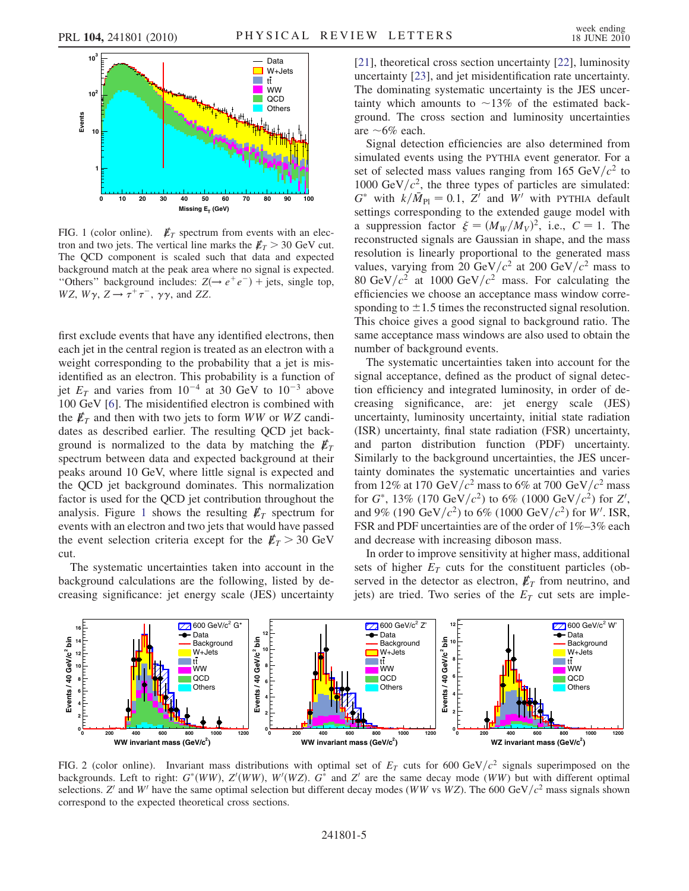<span id="page-7-0"></span>

FIG. 1 (color online).  $\not\mathbb{E}_T$  spectrum from events with an electron and two jets. The vertical line marks the  $E_T > 30$  GeV cut. The QCD component is scaled such that data and expected background match at the peak area where no signal is expected. "Others" background includes:  $Z(\rightarrow e^+e^-)$  + jets, single top,  $WZ$ ,  $W\gamma$ ,  $Z \rightarrow \tau^+\tau^-$ ,  $\gamma\gamma$ , and ZZ.

first exclude events that have any identified electrons, then each jet in the central region is treated as an electron with a weight corresponding to the probability that a jet is misidentified as an electron. This probability is a function of jet  $E_T$  and varies from  $10^{-4}$  at 30 GeV to  $10^{-3}$  above 100 GeV [[6\]](#page-10-39). The misidentified electron is combined with the  $E_T$  and then with two jets to form WW or WZ candidates as described earlier. The resulting QCD jet background is normalized to the data by matching the  $\not\hspace{-.15cm}/\,$ spectrum between data and expected background at their peaks around 10 GeV, where little signal is expected and the QCD jet background dominates. This normalization factor is used for the QCD jet contribution throughout the analysis. Figure [1](#page-7-0) shows the resulting  $E_T$  spectrum for events with an electron and two jets that would have passed the event selection criteria except for the  $\not\!\!E_T > 30~\rm GeV$ cut.

The systematic uncertainties taken into account in the background calculations are the following, listed by decreasing significance: jet energy scale (JES) uncertainty [\[21\]](#page-10-40), theoretical cross section uncertainty [[22](#page-10-41)], luminosity uncertainty [\[23\]](#page-10-42), and jet misidentification rate uncertainty. The dominating systematic uncertainty is the JES uncertainty which amounts to  $\sim$ 13% of the estimated background. The cross section and luminosity uncertainties are  $~6\%$  each.

Signal detection efficiencies are also determined from simulated events using the PYTHIA event generator. For a set of selected mass values ranging from 165 GeV/ $c^2$  to 1000 GeV/ $c^2$ , the three types of particles are simulated:  $G^*$  with  $k/\bar{M}_{\text{Pl}} = 0.1$ ,  $Z^{\bar{\imath}}$  and  $\bar{W}^{\bar{\imath}}$  with PYTHIA default<br>settings corresponding to the extended gauge model with settings corresponding to the extended gauge model with a suppression factor  $\xi = (M_W/M_V)^2$ , i.e.,  $C = 1$ . The reconstructed signals are Gaussian in shape and the mass a suppression factor  $\xi = (M_W/M_V)^2$ , i.e.,  $C = 1$ . The reconstructed signals are Gaussian in shape, and the mass resolution is linearly proportional to the generated mass values, varying from 20 GeV/ $c^2$  at 200 GeV/ $c^2$  mass to 80 GeV/ $c^2$  at 1000 GeV/ $c^2$  mass. For calculating the efficiencies we choose an acceptance mass window corresponding to  $\pm 1.5$  times the reconstructed signal resolution. This choice gives a good signal to background ratio. The same acceptance mass windows are also used to obtain the number of background events.

The systematic uncertainties taken into account for the signal acceptance, defined as the product of signal detection efficiency and integrated luminosity, in order of decreasing significance, are: jet energy scale (JES) uncertainty, luminosity uncertainty, initial state radiation (ISR) uncertainty, final state radiation (FSR) uncertainty, and parton distribution function (PDF) uncertainty. Similarly to the background uncertainties, the JES uncertainty dominates the systematic uncertainties and varies from 12% at 170 GeV/ $c^2$  mass to 6% at 700 GeV/ $c^2$  mass for  $G^*$ , 13% (170 GeV/ $c^2$ ) to 6% (1000 GeV/ $c^2$ ) for Z',<br>and 9% (190 GeV/ $c^2$ ) to 6% (1000 GeV/ $c^2$ ) for W' JSR and 9% (190 GeV/ $c^2$ ) to 6% (1000 GeV/ $c^2$ ) for W'. ISR,<br>ESR and PDE uncertainties are of the order of 1%–3% each FSR and PDF uncertainties are of the order of 1%–3% each and decrease with increasing diboson mass.

In order to improve sensitivity at higher mass, additional sets of higher  $E_T$  cuts for the constituent particles (observed in the detector as electron,  $\not \! \! E_T$  from neutrino, and jets) are tried. Two series of the  $E_T$  cut sets are imple-

<span id="page-7-1"></span>

FIG. 2 (color online). Invariant mass distributions with optimal set of  $E<sub>T</sub>$  cuts for 600 GeV/ $c<sup>2</sup>$  signals superimposed on the backgrounds. Left to right:  $G^*(WW)$ ,  $Z'(WW)$ ,  $W'(WZ)$ .  $G^*$  and  $Z'$  are the same decay mode (WW) but with different optimal selections  $Z'$  and  $W'$  have the same optimal selection but different decay modes (WW ys WZ). T selections. Z' and W' have the same optimal selection but different decay modes (WW vs WZ). The 600 GeV/ $c^2$  mass signals shown correspond to the expected theoretical cross sections.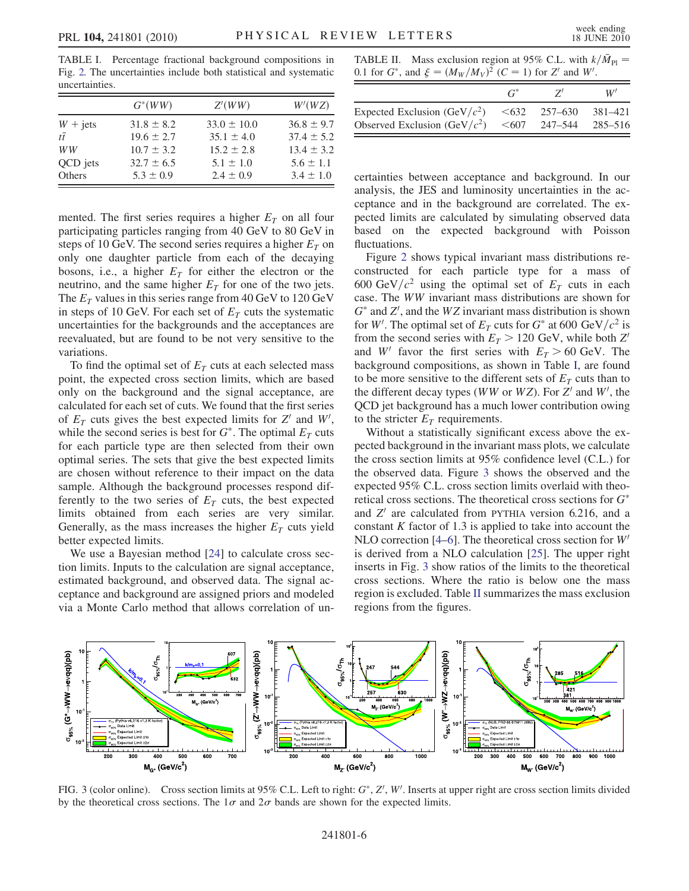<span id="page-8-0"></span>TABLE I. Percentage fractional background compositions in Fig. [2.](#page-7-1) The uncertainties include both statistical and systematic uncertainties.

|                   | $G^*(WW)$      | Z'(WW)          | W'(WZ)         |
|-------------------|----------------|-----------------|----------------|
| $W + \text{jets}$ | $31.8 \pm 8.2$ | $33.0 \pm 10.0$ | $36.8 \pm 9.7$ |
| $t\bar{t}$        | $19.6 \pm 2.7$ | $35.1 \pm 4.0$  | $37.4 \pm 5.2$ |
| WW                | $10.7 \pm 3.2$ | $15.2 \pm 2.8$  | $13.4 \pm 3.2$ |
| QCD jets          | $32.7 \pm 6.5$ | $5.1 \pm 1.0$   | $5.6 \pm 1.1$  |
| Others            | $5.3 \pm 0.9$  | $2.4 \pm 0.9$   | $3.4 \pm 1.0$  |

mented. The first series requires a higher  $E_T$  on all four participating particles ranging from 40 GeV to 80 GeV in steps of 10 GeV. The second series requires a higher  $E_T$  on only one daughter particle from each of the decaying bosons, i.e., a higher  $E_T$  for either the electron or the neutrino, and the same higher  $E_T$  for one of the two jets. The  $E_T$  values in this series range from 40 GeV to 120 GeV in steps of 10 GeV. For each set of  $E_T$  cuts the systematic uncertainties for the backgrounds and the acceptances are reevaluated, but are found to be not very sensitive to the variations.

To find the optimal set of  $E_T$  cuts at each selected mass point, the expected cross section limits, which are based only on the background and the signal acceptance, are calculated for each set of cuts. We found that the first series of  $E_T$  cuts gives the best expected limits for  $Z'$  and  $W'$ ,<br>while the second series is best for  $G^*$ . The optimal  $E_T$  cuts while the second series is best for  $G^*$ . The optimal  $E_T$  cuts<br>for each particle type are then selected from their own for each particle type are then selected from their own optimal series. The sets that give the best expected limits are chosen without reference to their impact on the data sample. Although the background processes respond differently to the two series of  $E<sub>T</sub>$  cuts, the best expected limits obtained from each series are very similar. Generally, as the mass increases the higher  $E_T$  cuts yield better expected limits.

We use a Bayesian method [\[24\]](#page-10-43) to calculate cross section limits. Inputs to the calculation are signal acceptance, estimated background, and observed data. The signal acceptance and background are assigned priors and modeled via a Monte Carlo method that allows correlation of un-

<span id="page-8-2"></span>TABLE II. Mass exclusion region at 95% C.L. with  $k/\bar{M}_{\text{Pl}}$ 0.1 for  $G^*$ , and  $\xi = (M_W/M_V)^2$  (C = 1) for Z' and W'.

|                                  |      |                    | W'      |
|----------------------------------|------|--------------------|---------|
| Expected Exclusion (GeV/ $c^2$ ) | <632 | $257 - 630$        | 381–421 |
| Observed Exclusion (GeV/ $c^2$ ) |      | $\leq 607$ 247-544 | 285–516 |

certainties between acceptance and background. In our analysis, the JES and luminosity uncertainties in the acceptance and in the background are correlated. The expected limits are calculated by simulating observed data based on the expected background with Poisson fluctuations.

Figure [2](#page-7-1) shows typical invariant mass distributions reconstructed for each particle type for a mass of 600 GeV/ $c^2$  using the optimal set of  $E_T$  cuts in each case. The WW invariant mass distributions are shown for  $G^*$  and  $Z'$ , and the WZ invariant mass distribution is shown<br>for W'. The optimal set of  $F_T$  cuts for  $G^*$  at 600 GeV/ $c^2$  is for W'. The optimal set of  $E_T$  cuts for  $G^*$  at 600 GeV/ $c^2$  is from the second series with  $F_T > 120$  GeV while both  $Z'$ from the second series with  $E_T > 120$  GeV, while both Z' and W' favor the first series with  $E_T > 60$  GeV. The background compositions, as shown in Table [I](#page-8-0), are found to be more sensitive to the different sets of  $E<sub>T</sub>$  cuts than to the different decay types (*WW* or *WZ*). For *Z'* and *W'*, the OCD jet background has a much lower contribution owing QCD jet background has a much lower contribution owing to the stricter  $E_T$  requirements.

Without a statistically significant excess above the expected background in the invariant mass plots, we calculate the cross section limits at 95% confidence level (C.L.) for the observed data. Figure [3](#page-8-1) shows the observed and the expected 95% C.L. cross section limits overlaid with theoretical cross sections. The theoretical cross sections for  $G^*$ <br>and  $Z'$  are calculated from PYTHIA version 6.216, and a and  $Z<sup>'</sup>$  are calculated from PYTHIA version 6.216, and a constant  $K$  factor of 1.3 is applied to take into account the NLO correction [\[4–](#page-10-44)[6](#page-10-39)]. The theoretical cross section for  $W'$ is derived from a NLO calculation [\[25\]](#page-10-45). The upper right inserts in Fig. [3](#page-8-1) show ratios of the limits to the theoretical cross sections. Where the ratio is below one the mass region is excluded. Table [II](#page-8-2) summarizes the mass exclusion regions from the figures.

<span id="page-8-1"></span>

FIG. 3 (color online). Cross section limits at 95% C.L. Left to right:  $G^*$ ,  $Z'$ ,  $W'$ . Inserts at upper right are cross section limits divided by the theoretical cross sections. The  $1\sigma$  and  $2\sigma$  bands are shown for by the theoretical cross sections. The  $1\sigma$  and  $2\sigma$  bands are shown for the expected limits.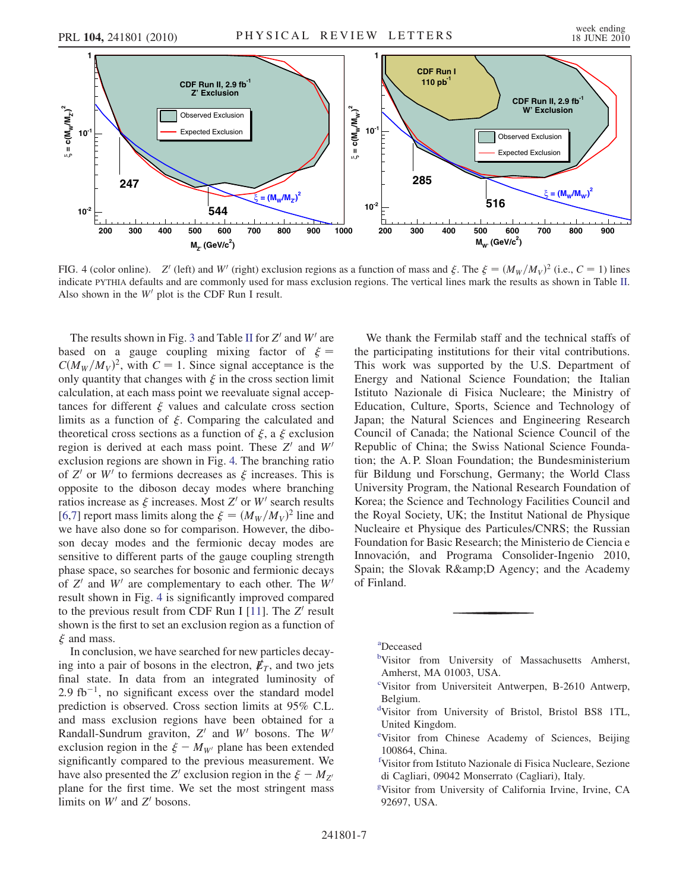<span id="page-9-7"></span>

FIG. 4 (color online). Z' (left) and W' (right) exclusion regions as a function of mass and  $\xi$ . The  $\xi = (M_W/M_V)^2$  (i.e.,  $C = 1$ ) lines<br>indicate PVTHA defaults and are commonly used for mass exclusion regions. The vertica FIG. 4 (color online). Z' (left) and W' (right) exclusion regions as a function of mass and  $\xi$ . The  $\xi = (M_W/M_V)^2$  (i.e.,  $C = 1$ ) lines indicate PYTHIA defaults and are commonly used for mass exclusion regions. The vertic Also shown in the  $W'$  plot is the CDF Run I result.

The results shown in Fig. [3](#page-8-1) and Table [II](#page-8-2) for  $Z'$  and  $W'$  are based on a gauge coupling mixing factor of  $\xi = C(M_{\text{av}}/M_{\text{av}})^2$  with  $C = 1$  Since signal acceptance is the  $C(M_W/M_V)$ only quantit  $C(M_W/M_V)^2$ , with  $C = 1$ . Since signal acceptance is the only quantity that changes with  $\xi$  in the cross section limit<br>calculation, at each mass point we reevaluate signal accencalculation, at each mass point we reevaluate signal acceptances for different  $\xi$  values and calculate cross section<br>limits as a function of  $\xi$ . Comparing the calculated and limits as a function of  $\xi$ . Comparing the calculated and<br>theoretical cross sections as a function of  $\xi$  a  $\xi$  exclusion theoretical cross sections as a function of  $\xi$ , a  $\xi$  exclusion<br>region is derived at each mass point. These  $Z'$  and  $W'$ region is derived at each mass point. These  $Z'$  and  $W'$ exclusion regions are shown in Fig. [4.](#page-9-7) The branching ratio of Z' or W' to fermions decreases as  $\xi$  increases. This is<br>opposite to the diboson decay modes where branching opposite to the diboson decay modes where branching ratios increase as  $\xi$  increases. Most Z' or W' search results<br>16.71 report mass limits along the  $\xi = (M_{\rm m}/M_{\rm m})^2$  line and [\[6,](#page-10-39)[7](#page-10-46)] report mass limits along the  $\xi = (M_W/M_V)^2$  line and<br>we have also done so for comparison. However, the dibo-[6,7] report mass limits along the  $\xi = (M_W/M_V)^2$  line and<br>we have also done so for comparison. However, the diboson decay modes and the fermionic decay modes are sensitive to different parts of the gauge coupling strength phase space, so searches for bosonic and fermionic decays of  $Z'$  and  $W'$  are complementary to each other. The  $W'$ result shown in Fig. [4](#page-9-7) is significantly improved compared to the previous result from CDF Run I [\[11\]](#page-10-29). The  $Z'$  result shown is the first to set an exclusion region as a function of  $\xi$  and mass.

-In conclusion, we have searched for new particles decaying into a pair of bosons in the electron,  $E_T$ , and two jets final state. In data from an integrated luminosity of  $2.9 \text{ fb}^{-1}$ , no significant excess over the standard model prediction is observed. Cross section limits at 95% C.L. and mass exclusion regions have been obtained for a Randall-Sundrum graviton,  $Z'$  and  $W'$  bosons. The  $W'$ exclusion region in the  $\xi - M_{W'}$  plane has been extended<br>significantly compared to the previous measurement. We significantly compared to the previous measurement. We have also presented the Z' exclusion region in the  $\xi - M_{Z'}$ have also presented the  $Z'$  exclusion region in the  $\xi - M_{Z'}$ <br>plane for the first time. We set the most stringent mass limits on  $W'$  and  $Z'$  bosons.

We thank the Fermilab staff and the technical staffs of the participating institutions for their vital contributions. This work was supported by the U.S. Department of Energy and National Science Foundation; the Italian Istituto Nazionale di Fisica Nucleare; the Ministry of Education, Culture, Sports, Science and Technology of Japan; the Natural Sciences and Engineering Research Council of Canada; the National Science Council of the Republic of China; the Swiss National Science Foundation; the A. P. Sloan Foundation; the Bundesministerium für Bildung und Forschung, Germany; the World Class University Program, the National Research Foundation of Korea; the Science and Technology Facilities Council and the Royal Society, UK; the Institut National de Physique Nucleaire et Physique des Particules/CNRS; the Russian Foundation for Basic Research; the Ministerio de Ciencia e Innovación, and Programa Consolider-Ingenio 2010, Spain; the Slovak R& D Agency; and the Academy of Finland.

- <span id="page-9-5"></span>[b](#page-3-1)Visitor from University of Massachusetts Amherst, Amherst, MA 01003, USA.
- <span id="page-9-3"></span>[c](#page-4-0) Visitor from Universiteit Antwerpen, B-2610 Antwerp, Belgium.
- <span id="page-9-6"></span>[d](#page-3-2) Visitor from University of Bristol, Bristol BS8 1TL, United Kingdom.
- <span id="page-9-4"></span>[e](#page-4-1) Visitor from Chinese Academy of Sciences, Beijing 100864, China.
- <span id="page-9-2"></span>[f](#page-3-3) Visitor from Istituto Nazionale di Fisica Nucleare, Sezione di Cagliari, 09042 Monserrato (Cagliari), Italy.
- [g](#page-3-4) Visitor from University of California Irvine, Irvine, CA 92697, USA.

<span id="page-9-1"></span><span id="page-9-0"></span>[a](#page-3-0) Deceased